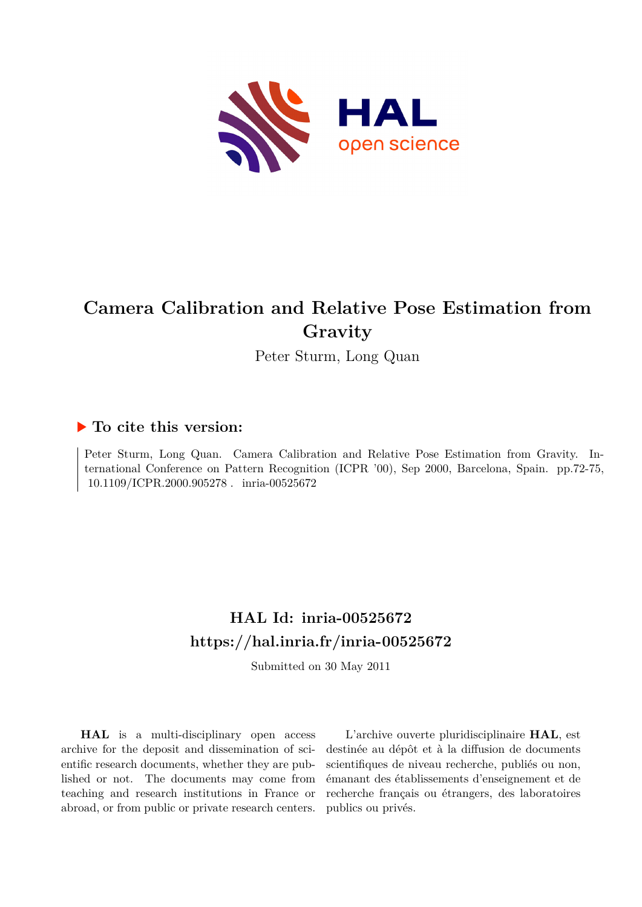

# **Camera Calibration and Relative Pose Estimation from Gravity**

Peter Sturm, Long Quan

### **To cite this version:**

Peter Sturm, Long Quan. Camera Calibration and Relative Pose Estimation from Gravity. International Conference on Pattern Recognition (ICPR '00), Sep 2000, Barcelona, Spain. pp.72-75,  $10.1109/ICPR.2000.905278$ . inria-00525672

## **HAL Id: inria-00525672 <https://hal.inria.fr/inria-00525672>**

Submitted on 30 May 2011

**HAL** is a multi-disciplinary open access archive for the deposit and dissemination of scientific research documents, whether they are published or not. The documents may come from teaching and research institutions in France or abroad, or from public or private research centers.

L'archive ouverte pluridisciplinaire **HAL**, est destinée au dépôt et à la diffusion de documents scientifiques de niveau recherche, publiés ou non, émanant des établissements d'enseignement et de recherche français ou étrangers, des laboratoires publics ou privés.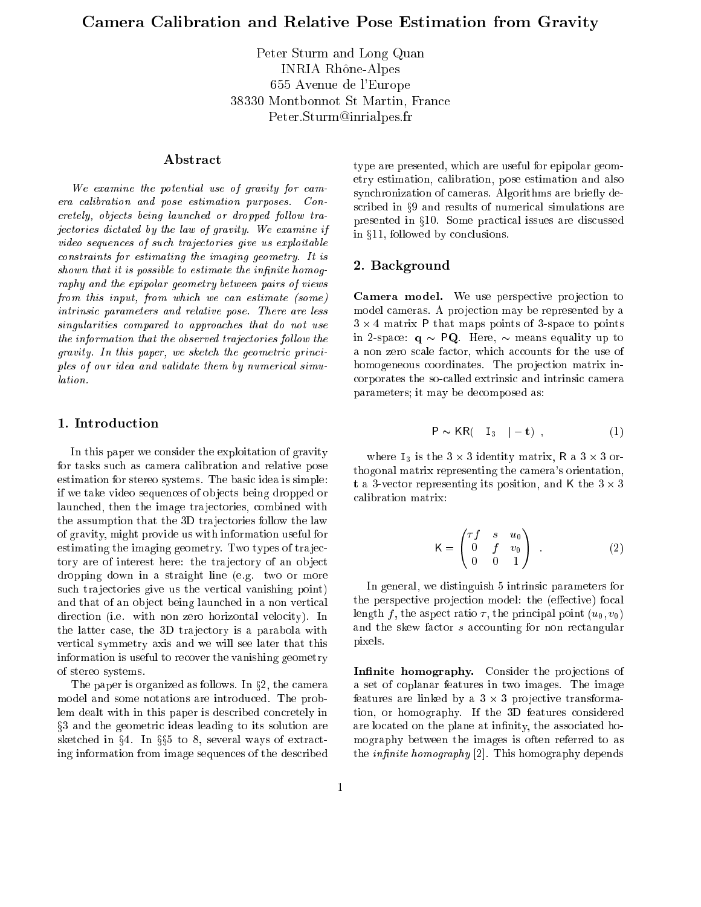Peter Sturm and Long Quan INRIA Rh^one-Alpes 655 Avenue de l'Europe 38330 Montbonnot St Martin, France Peter.Sturm@inrialpes.fr

#### Abstract

We examine the potential use of gravity for camera calibration and pose estimation purposes. Concretely, objects being launched or dropped follow trajectories dictated by the law of gravity. We examine if video sequences of such trajectories give us exploitable constraints for estimating the imaging geometry. It is shown that it is possible to estimate the infinite homography and the epipolar geometry between pairs of views from this input, from which we can estimate (some) intrinsic parameters and relative pose. There are less singularities compared to approaches that do not use the information that the observed trajectories follow the gravity. In this paper, we sketch the geometric principles of our idea and validate them by numerical simulation.

#### 1. Introduction

In this paper we consider the exploitation of gravity for tasks such as camera calibration and relative pose estimation for stereo systems. The basic idea is simple: if we take video sequences of ob jects being dropped or launched, then the image trajectories, combined with the assumption that the 3D trajectories follow the law of gravity, might provide us with information useful for estimating the imaging geometry. Two types of tra jectory are of interest here: the trajectory of an object dropping down in a straight line (e.g. two or more such trajectories give us the vertical vanishing point) and that of an ob ject being launched in a non vertical direction (i.e. with non zero horizontal velocity). In the latter case, the 3D trajectory is a parabola with vertical symmetry axis and we will see later that this information is useful to recover the vanishing geometry of stereo systems.

The paper is organized as follows. In  $\S 2$ , the camera model and some notations are introduced. The problem dealt with in this paper is described concretely in x3 and the geometric ideas leading to its solution are sketched in  $\S 4$ . In  $\S 5$  to 8, several ways of extracting information from image sequences of the described type are presented, which are useful for epipolar geometry estimation, calibration, pose estimation and also synchronization of cameras. Algorithms are briefly described in §9 and results of numerical simulations are presented in §10. Some practical issues are discussed in  $§11$ , followed by conclusions.

#### 2. Background

Camera model. We use perspective pro jection to model cameras. A pro jection may be represented by a  $3 \times 4$  matrix P that maps points of 3-space to points in 2-space:  $q \sim PQ$ . Here,  $\sim$  means equality up to a non zero scale factor, which accounts for the use of homogeneous coordinates. The projection matrix incorporates the so-called extrinsic and intrinsic camera parameters; it may be decomposed as:

$$
P \sim KR(\quad I_3 \quad |-t) \tag{1}
$$

where  $I_3$  is the  $3 \times 3$  identity matrix, R a  $3 \times 3$  orthogonal matrix representing the camera's orientation, t a 3-vector representing its position, and K the  $3 \times 3$ calibration matrix:

$$
K = \begin{pmatrix} \tau f & s & u_0 \\ 0 & f & v_0 \\ 0 & 0 & 1 \end{pmatrix} .
$$
 (2)

In general, we distinguish 5 intrinsic parameters for the perspective projection model: the (effective) focal length f, the aspect ratio  $\tau$ , the principal point  $(u_0, v_0)$ and the skew factor <sup>s</sup> accounting for non rectangular pixels.

Innite homography. Consider the pro jections of a set of coplanar features in two images. The image features are linked by a 3 - 3 pro jective transformation, or homography. If the 3D features considered are located on the plane at infinity, the associated homography between the images is often referred to as the *infinite homography*  $[2]$ . This homography depends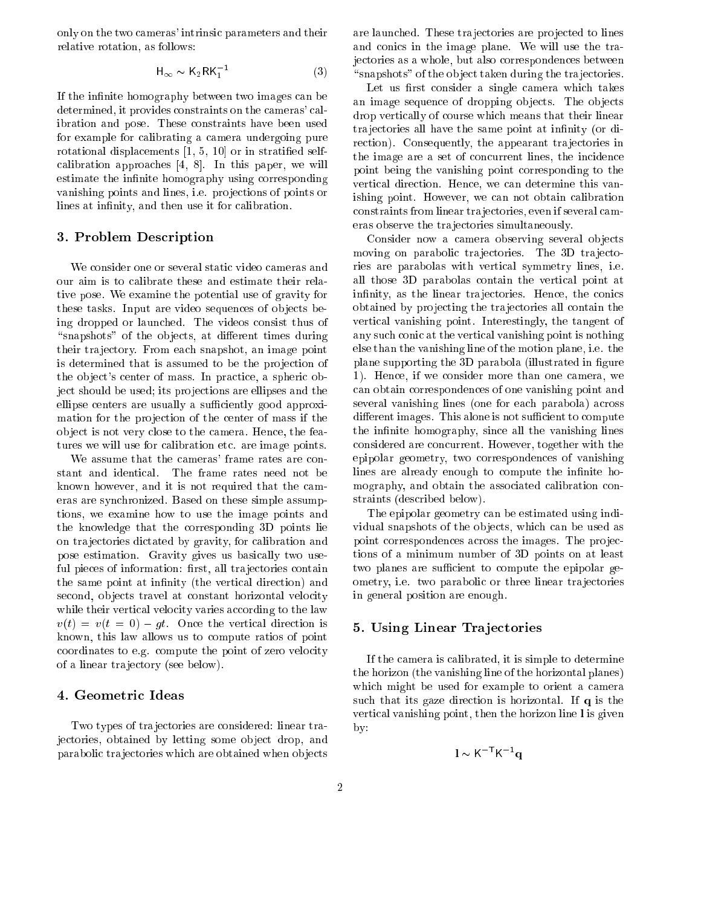only on the two cameras' intrinsic parameters and their relative rotation, as follows:

$$
\mathsf{H}_{\infty} \sim \mathsf{K}_2 \mathsf{RK}_1^{-1} \tag{3}
$$

If the infinite homography between two images can be determined, it provides constraints on the cameras' calibration and pose. These constraints have been used for example for calibrating a camera undergoing pure rotational displacements [1, 5, 10] or in stratied selfcalibration approaches [4, 8]. In this paper, we will estimate the infinite homography using corresponding vanishing points and lines, i.e. projections of points or lines at infinity, and then use it for calibration.

#### 3. Problem Description

We consider one or several static video cameras and our aim is to calibrate these and estimate their relative pose. We examine the potential use of gravity for these tasks. Input are video sequences of objects being dropped or launched. The videos consist thus of "snapshots" of the objects, at different times during their tra jectory. From each snapshot, an image point is determined that is assumed to be the projection of the ob ject's center of mass. In practice, a spheric object should be used; its projections are ellipses and the ellipse centers are usually a sufficiently good approximation for the projection of the center of mass if the ob ject is not very close to the camera. Hence, the features we will use for calibration etc. are image points.

We assume that the cameras' frame rates are constant and identical. The frame rates need not be known however, and it is not required that the cameras are synchronized. Based on these simple assumptions, we examine how to use the image points and the knowledge that the corresponding 3D points lie on tra jectories dictated by gravity, for calibration and pose estimation. Gravity gives us basically two useful pieces of information: first, all trajectories contain the same point at infinity (the vertical direction) and second, objects travel at constant horizontal velocity while their vertical velocity varies according to the law  $v(t) = v(t = 0) - gt$ . Once the vertical direction is known, this law allows us to compute ratios of point coordinates to e.g. compute the point of zero velocity of a linear tra jectory (see below).

#### 4. Geometric Ideas

Two types of trajectories are considered: linear trajectories, obtained by letting some object drop, and parabolic tra jectories which are obtained when ob jects are launched. These trajectories are projected to lines and conics in the image plane. We will use the trajectories as a whole, but also correspondences between "snapshots" of the object taken during the trajectories.

Let us first consider a single camera which takes an image sequence of dropping objects. The objects drop vertically of course which means that their linear trajectories all have the same point at infinity (or direction). Consequently, the appearant trajectories in the image are a set of concurrent lines, the incidence point being the vanishing point corresponding to the vertical direction. Hence, we can determine this vanishing point. However, we can not obtain calibration constraints from linear tra jectories, even if several cameras observe the tra jectories simultaneously.

Consider now a camera observing several objects moving on parabolic trajectories. The 3D trajectories are parabolas with vertical symmetry lines, i.e. all those 3D parabolas contain the vertical point at infinity, as the linear trajectories. Hence, the conics obtained by pro jecting the tra jectories all contain the vertical vanishing point. Interestingly, the tangent of any such conic at the vertical vanishing point is nothing else than the vanishing line of the motion plane, i.e. the plane supporting the 3D parabola (illustrated in figure 1). Hence, if we consider more than one camera, we can obtain correspondences of one vanishing point and several vanishing lines (one for each parabola) across different images. This alone is not sufficient to compute the infinite homography, since all the vanishing lines considered are concurrent. However, together with the epipolar geometry, two correspondences of vanishing lines are already enough to compute the infinite homography, and obtain the associated calibration constraints (described below).

The epipolar geometry can be estimated using individual snapshots of the objects, which can be used as point correspondences across the images. The projections of a minimum number of 3D points on at least two planes are sufficient to compute the epipolar geometry, i.e. two parabolic or three linear trajectories in general position are enough.

#### 5. Using Linear Tra jectories

If the camera is calibrated, it is simple to determine the horizon (the vanishing line of the horizontal planes) which might be used for example to orient a camera such that its gaze direction is horizontal. If <sup>q</sup> is the vertical vanishing point, then the horizon line <sup>l</sup> is given by:

$$
1 \sim K^{-T} K^{-1} \mathbf{q}
$$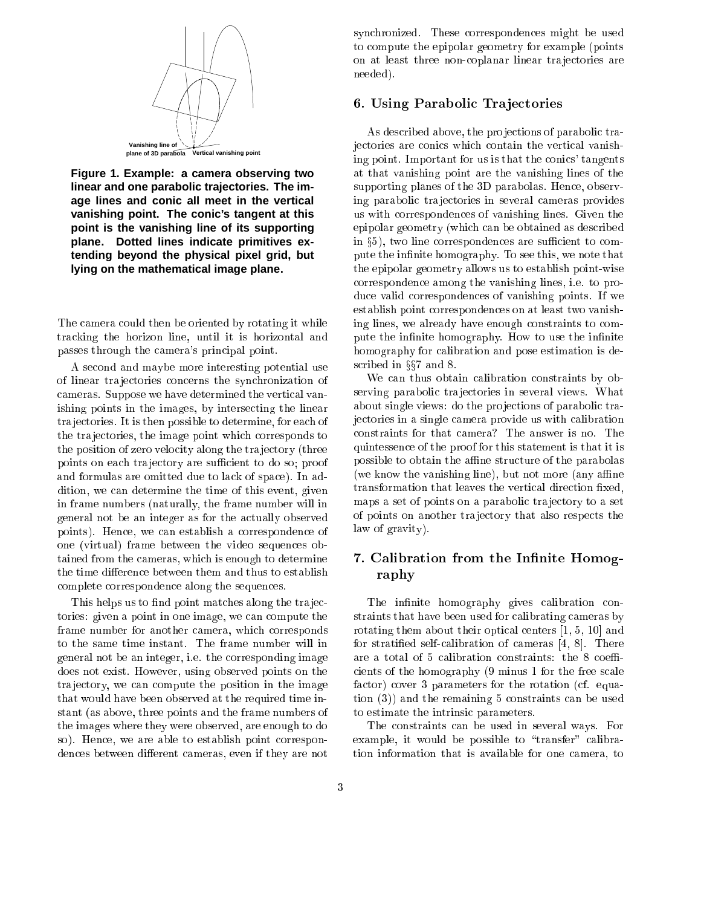

**Figure 1. Example: a camera observing two linear and one parabolic trajectories. The image lines and conic all meet in the vertical vanishing point. The conic's tangent at this point is the vanishing line of its supporting plane. Dotted lines indicate primitives extending beyond the physical pixel grid, but lying on the mathematical image plane.**

The camera could then be oriented by rotating it while tracking the horizon line, until it is horizontal and passes through the camera's principal point.

A second and maybe more interesting potential use of linear tra jectories concerns the synchronization of cameras. Suppose we have determined the vertical vanishing points in the images, by intersecting the linear tra jectories. It is then possible to determine, for each of the tra jectories, the image point which corresponds to the position of zero velocity along the tra jectory (three points on each trajectory are sufficient to do so; proof and formulas are omitted due to lack of space). In addition, we can determine the time of this event, given in frame numbers (naturally, the frame number will in general not be an integer as for the actually observed points). Hence, we can establish a correspondence of one (virtual) frame between the video sequences obtained from the cameras, which is enough to determine the time difference between them and thus to establish complete correspondence along the sequences.

This helps us to find point matches along the trajectories: given a point in one image, we can compute the frame number for another camera, which corresponds to the same time instant. The frame number will in general not be an integer, i.e. the corresponding image does not exist. However, using observed points on the tra jectory, we can compute the position in the image that would have been observed at the required time instant (as above, three points and the frame numbers of the images where they were observed, are enough to do so). Hence, we are able to establish point correspondences between different cameras, even if they are not

synchronized. These correspondences might be used to compute the epipolar geometry for example (points on at least three non-coplanar linear tra jectories are needed).

#### 6. Using Parabolic Tra jectories

As described above, the projections of parabolic trajectories are conics which contain the vertical vanishing point. Important for us is that the conics' tangents at that vanishing point are the vanishing lines of the supporting planes of the 3D parabolas. Hence, observing parabolic tra jectories in several cameras provides us with correspondences of vanishing lines. Given the epipolar geometry (which can be obtained as described in  $\S5$ ), two line correspondences are sufficient to compute the infinite homography. To see this, we note that the epipolar geometry allows us to establish point-wise correspondence among the vanishing lines, i.e. to produce valid correspondences of vanishing points. If we establish point correspondences on at least two vanishing lines, we already have enough constraints to compute the infinite homography. How to use the infinite homography for calibration and pose estimation is described in  $\S$ 7 and 8.

We can thus obtain calibration constraints by observing parabolic tra jectories in several views. What about single views: do the projections of parabolic trajectories in a single camera provide us with calibration constraints for that camera? The answer is no. The quintessence of the proof for this statement is that it is possible to obtain the affine structure of the parabolas (we know the vanishing line), but not more (any affine) transformation that leaves the vertical direction fixed, maps a set of points on a parabolic trajectory to a set of points on another tra jectory that also respects the law of gravity).

#### 7. Calibration from the Infinite Homography

The infinite homography gives calibration constraints that have been used for calibrating cameras by rotating them about their optical centers [1, 5, 10] and for stratied self-calibration of cameras [4, 8]. There are a total of 5 calibration constraints: the 8 coefficients of the homography (9 minus 1 for the free scale factor) cover 3 parameters for the rotation (cf. equation (3)) and the remaining 5 constraints can be used to estimate the intrinsic parameters.

The constraints can be used in several ways. For example, it would be possible to "transfer" calibration information that is available for one camera, to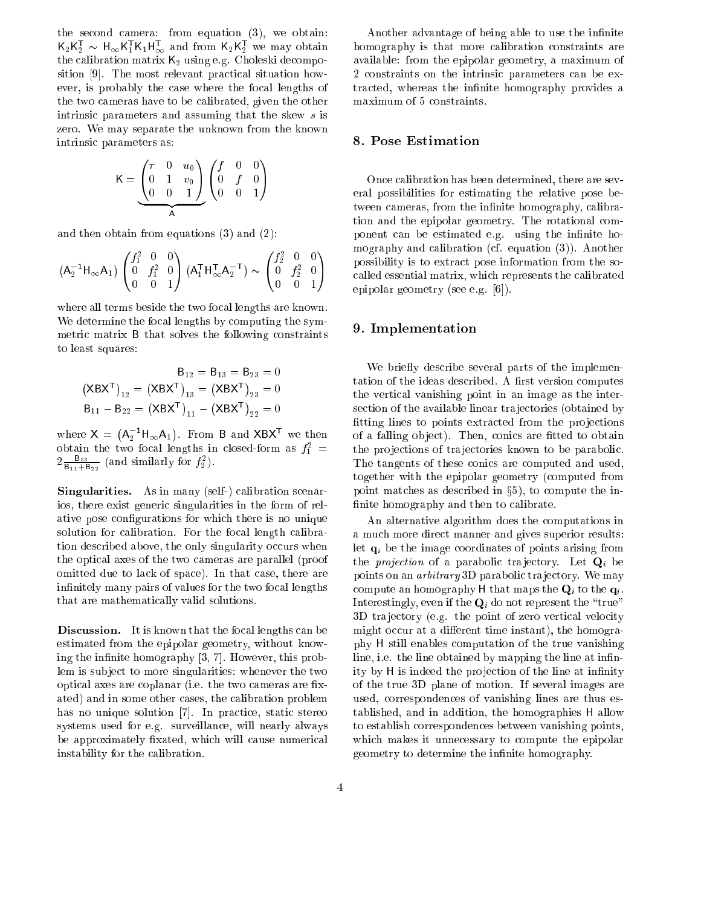the second camera: from equation (3), we obtain:  $\mathsf{K}_2\mathsf{K}_2^\intercal$   $\sim \mathsf{H}_\infty\mathsf{K}_1^\intercal\mathsf{K}_1\mathsf{H}_\infty^\intercal$  and from  $\mathsf{K}_2\mathsf{K}_2^\intercal$  we may obtain the calibration matrix  $K_2$  using e.g. Choleski decomposition [9]. The most relevant practical situation however, is probably the case where the focal lengths of the two cameras have to be calibrated, given the other intrinsic parameters and assuming that the skew <sup>s</sup> is zero. We may separate the unknown from the known intrinsic parameters as:

$$
K = \underbrace{\begin{pmatrix} \tau & 0 & u_0 \\ 0 & 1 & v_0 \\ 0 & 0 & 1 \end{pmatrix}}_{A} \begin{pmatrix} f & 0 & 0 \\ 0 & f & 0 \\ 0 & 0 & 1 \end{pmatrix}
$$

and then obtain from equations (3) and (2):

$$
(A_2^{-1}H_{\infty}A_1)\begin{pmatrix} f_1^2 & 0 & 0 \ 0 & f_1^2 & 0 \ 0 & 0 & 1 \end{pmatrix} (A_1^TH_{\infty}^TA_2^{-T}) \sim \begin{pmatrix} f_2^2 & 0 & 0 \ 0 & f_2^2 & 0 \ 0 & 0 & 1 \end{pmatrix}
$$

where all terms beside the two focal lengths are known. We determine the focal lengths by computing the symmetric matrix B that solves the following constraints to least squares:

$$
B_{12} = B_{13} = B_{23} = 0
$$
  

$$
(XBXT)_{12} = (XBXT)_{13} = (XBXT)_{23} = 0
$$
  

$$
B_{11} - B_{22} = (XBXT)_{11} - (XBXT)_{22} = 0
$$

where  $X = (A_2^{-1}H_{\infty}A_1)$ . From B and XBX<sup>T</sup> we then obtain the two focal lengths in closed-form as  $J_1^+$  =  $2\frac{\text{B}_{33}}{\text{B}_{11}+\text{B}_{22}}$  (and similarly for  $f_2^2$ ).

 $\mathbf{S}$  in many (see figure ) calibration scenarion scenarion scenarion scenarion scenarion scenarion scenario ios, there exist generic singularities in the form of relative pose congurations for which there is no unique solution for calibration. For the focal length calibration described above, the only singularity occurs when the optical axes of the two cameras are parallel (proof omitted due to lack of space). In that case, there are infinitely many pairs of values for the two focal lengths that are mathematically valid solutions.

Discussion. It is known that the focal lengths can be estimated from the epipolar geometry, without knowing the infinite homography  $[3, 7]$ . However, this problem is subject to more singularities: whenever the two optical axes are coplanar (i.e. the two cameras are fixated) and in some other cases, the calibration problem has no unique solution [7]. In practice, static stereo systems used for e.g. surveillance, will nearly always be approximately fixated, which will cause numerical instability for the calibration.

Another advantage of being able to use the infinite homography is that more calibration constraints are available: from the epipolar geometry, a maximum of 2 constraints on the intrinsic parameters can be extracted, whereas the infinite homography provides a maximum of 5 constraints.

#### 8. Pose Estimation

Once calibration has been determined, there are several possibilities for estimating the relative pose between cameras, from the infinite homography, calibration and the epipolar geometry. The rotational component can be estimated e.g. using the infinite homography and calibration (cf. equation (3)). Another possibility is to extract pose information from the socalled essential matrix, which represents the calibrated epipolar geometry (see e.g. [6]).

#### 9. Implementation

We briefly describe several parts of the implementation of the ideas described. A first version computes the vertical vanishing point in an image as the intersection of the available linear trajectories (obtained by fitting lines to points extracted from the projections of a falling object). Then, conics are fitted to obtain the projections of trajectories known to be parabolic. The tangents of these conics are computed and used, together with the epipolar geometry (computed from point matches as described in  $\S5$ ), to compute the infinite homography and then to calibrate.

An alternative algorithm does the computations in a much more direct manner and gives superior results: let  $\mathbf{q}_i$  be the image coordinates of points arising from the *projection* of a parabolic trajectory. Let  $Q_i$  be points on an *arbitrary* 3D parabolic trajectory. We may compute an homography H that maps the  $\mathbf{Q}_i$  to the  $\mathbf{q}_i$ . Interestingly, even if the  $\mathbf{Q}_i$  do not represent the "true" 3D tra jectory (e.g. the point of zero vertical velocity might occur at a different time instant), the homography H still enables computation of the true vanishing line, i.e. the line obtained by mapping the line at infinity by H is indeed the projection of the line at infinity of the true 3D plane of motion. If several images are used, correspondences of vanishing lines are thus established, and in addition, the homographies H allow to establish correspondences between vanishing points, which makes it unnecessary to compute the epipolar geometry to determine the infinite homography.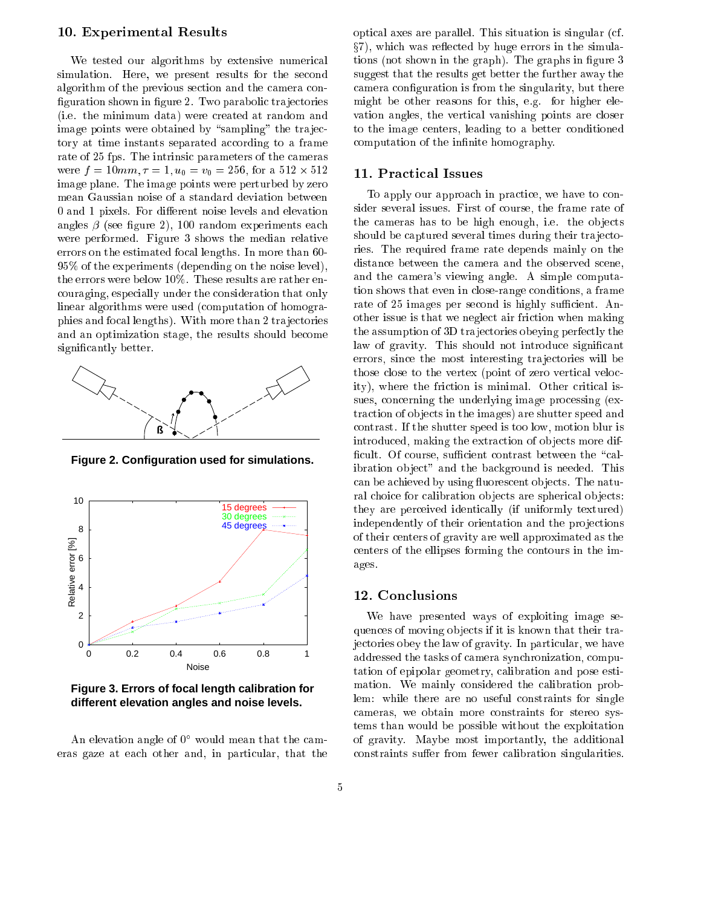#### 10. Experimental Results

We tested our algorithms by extensive numerical simulation. Here, we present results for the second algorithm of the previous section and the camera con figuration shown in figure 2. Two parabolic trajectories (i.e. the minimum data) were created at random and image points were obtained by "sampling" the trajectory at time instants separated according to a frame rate of 25 fps. The intrinsic parameters of the cameras were for a second for a second for a second for a second for a second for a second for a second for a second f image plane. The image points were perturbed by zero mean Gaussian noise of a standard deviation between 0 and 1 pixels. For different noise levels and elevation angles  $\beta$  (see figure 2), 100 random experiments each were performed. Figure 3 shows the median relative errors on the estimated focal lengths. In more than 60- 95% of the experiments (depending on the noise level), the errors were below 10%. These results are rather encouraging, especially under the consideration that only linear algorithms were used (computation of homographies and focal lengths). With more than 2 tra jectories and an optimization stage, the results should become signicantly better.



**Figure 2. Configuration used for simulations.**



**Figure 3. Errors of focal length calibration for different elevation angles and noise levels.**

An elevation angle of 0 would mean that the cameras gaze at each other and, in particular, that the optical axes are parallel. This situation is singular (cf.  $\S7$ , which was reflected by huge errors in the simulations (not shown in the graph). The graphs in figure 3 suggest that the results get better the further away the camera configuration is from the singularity, but there might be other reasons for this, e.g. for higher elevation angles, the vertical vanishing points are closer to the image centers, leading to a better conditioned computation of the infinite homography.

#### 11. Practical Issues

To apply our approach in practice, we have to consider several issues. First of course, the frame rate of the cameras has to be high enough, i.e. the objects should be captured several times during their trajectories. The required frame rate depends mainly on the distance between the camera and the observed scene, and the camera's viewing angle. A simple computation shows that even in close-range conditions, a frame rate of 25 images per second is highly sufficient. Another issue is that we neglect air friction when making the assumption of 3D tra jectories obeying perfectly the law of gravity. This should not introduce significant errors, since the most interesting tra jectories will be those close to the vertex (point of zero vertical velocity), where the friction is minimal. Other critical issues, concerning the underlying image processing (extraction of objects in the images) are shutter speed and contrast. If the shutter speed is too low, motion blur is introduced, making the extraction of ob jects more dif ficult. Of course, sufficient contrast between the "calibration ob ject" and the background is needed. This can be achieved by using fluorescent objects. The natural choice for calibration objects are spherical objects: they are perceived identically (if uniformly textured) independently of their orientation and the projections of their centers of gravity are well approximated as the centers of the ellipses forming the contours in the images.

#### 12. Conclusions

We have presented ways of exploiting image sequences of moving objects if it is known that their trajectories obey the law of gravity. In particular, we have addressed the tasks of camera synchronization, computation of epipolar geometry, calibration and pose estimation. We mainly considered the calibration problem: while there are no useful constraints for single cameras, we obtain more constraints for stereo systems than would be possible without the exploitation of gravity. Maybe most importantly, the additional constraints suffer from fewer calibration singularities.